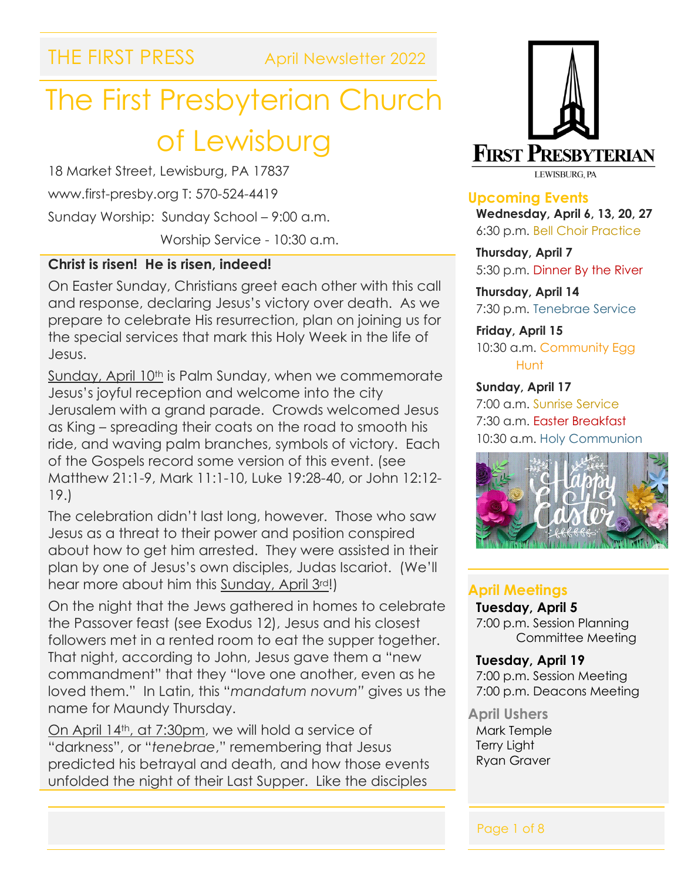THE FIRST PRESS April Newsletter 2022

# The First Presbyterian Church of Lewisburg

18 Market Street, Lewisburg, PA 17837 www.first-presby.org T: 570-524-4419 Sunday Worship: Sunday School – 9:00 a.m. Worship Service - 10:30 a.m.

#### **Christ is risen! He is risen, indeed!**

On Easter Sunday, Christians greet each other with this call and response, declaring Jesus's victory over death. As we prepare to celebrate His resurrection, plan on joining us for the special services that mark this Holy Week in the life of Jesus.

Sunday, April 10<sup>th</sup> is Palm Sunday, when we commemorate Jesus's joyful reception and welcome into the city Jerusalem with a grand parade. Crowds welcomed Jesus as King – spreading their coats on the road to smooth his ride, and waving palm branches, symbols of victory. Each of the Gospels record some version of this event. (see Matthew 21:1-9, Mark 11:1-10, Luke 19:28-40, or John 12:12- 19.)

The celebration didn't last long, however. Those who saw Jesus as a threat to their power and position conspired about how to get him arrested. They were assisted in their plan by one of Jesus's own disciples, Judas Iscariot. (We'll hear more about him this Sunday, April 3rd!)

On the night that the Jews gathered in homes to celebrate the Passover feast (see Exodus 12), Jesus and his closest followers met in a rented room to eat the supper together. That night, according to John, Jesus gave them a "new commandment" that they "love one another, even as he loved them." In Latin, this "*mandatum novum"* gives us the name for Maundy Thursday.

On April 14th, at 7:30pm, we will hold a service of "darkness", or "*tenebrae*," remembering that Jesus predicted his betrayal and death, and how those events unfolded the night of their Last Supper. Like the disciples



**Upcoming Events Wednesday, April 6, 13, 20, 27** 6:30 p.m. Bell Choir Practice

**Thursday, April 7** 5:30 p.m. Dinner By the River

**Thursday, April 14** 7:30 p.m. Tenebrae Service

**Friday, April 15** 10:30 a.m. Community Egg Hunt

**Sunday, April 17** 7:00 a.m. Sunrise Service 7:30 a.m. Easter Breakfast 10:30 a.m. Holy Communion



#### **April Meetings**

**Tuesday, April 5** 7:00 p.m. Session Planning Committee Meeting

**Tuesday, April 19** 7:00 p.m. Session Meeting 7:00 p.m. Deacons Meeting

**April Ushers** Mark Temple Terry Light

Ryan Graver

Ĩ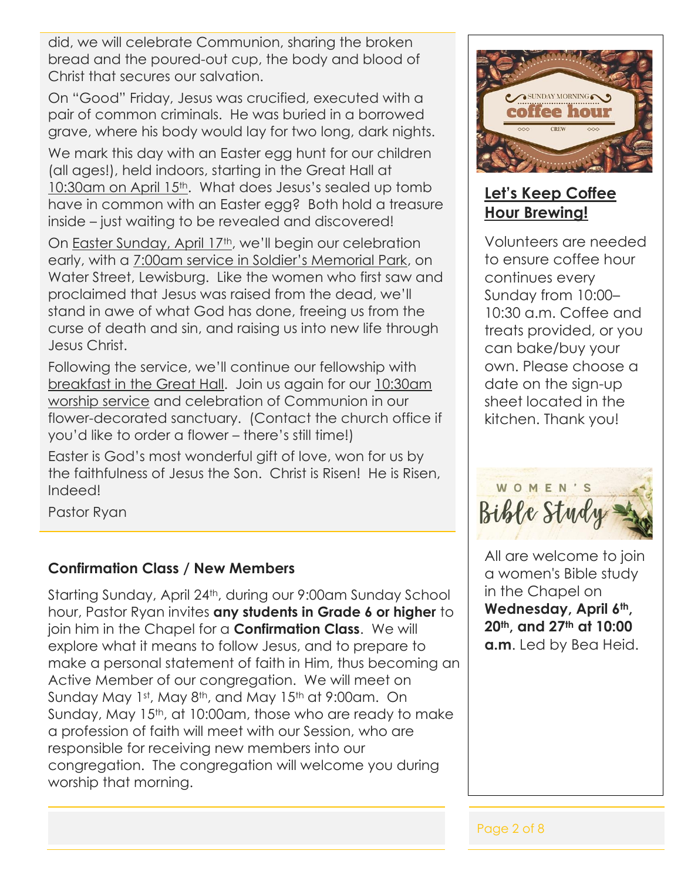did, we will celebrate Communion, sharing the broken bread and the poured-out cup, the body and blood of Christ that secures our salvation.

On "Good" Friday, Jesus was crucified, executed with a pair of common criminals. He was buried in a borrowed grave, where his body would lay for two long, dark nights.

We mark this day with an Easter egg hunt for our children (all ages!), held indoors, starting in the Great Hall at 10:30am on April 15<sup>th</sup>. What does Jesus's sealed up tomb have in common with an Easter egg? Both hold a treasure inside – just waiting to be revealed and discovered!

On Easter Sunday, April 17th, we'll begin our celebration early, with a 7:00am service in Soldier's Memorial Park, on Water Street, Lewisburg. Like the women who first saw and proclaimed that Jesus was raised from the dead, we'll stand in awe of what God has done, freeing us from the curse of death and sin, and raising us into new life through Jesus Christ.

Following the service, we'll continue our fellowship with breakfast in the Great Hall. Join us again for our 10:30am worship service and celebration of Communion in our flower-decorated sanctuary. (Contact the church office if you'd like to order a flower – there's still time!)

Easter is God's most wonderful gift of love, won for us by the faithfulness of Jesus the Son. Christ is Risen! He is Risen, Indeed!

Pastor Ryan

#### **Confirmation Class / New Members**

Starting Sunday, April 24th, during our 9:00am Sunday School hour, Pastor Ryan invites **any students in Grade 6 or higher** to join him in the Chapel for a **Confirmation Class**. We will explore what it means to follow Jesus, and to prepare to make a personal statement of faith in Him, thus becoming an Active Member of our congregation. We will meet on Sunday May 1st, May 8th, and May 15th at 9:00am. On Sunday, May 15th, at 10:00am, those who are ready to make a profession of faith will meet with our Session, who are responsible for receiving new members into our congregation. The congregation will welcome you during worship that morning.



### **Let's Keep Coffee Hour Brewing!**

Volunteers are needed to ensure coffee hour continues every Sunday from 10:00– 10:30 a.m. Coffee and treats provided, or you can bake/buy your own. Please choose a date on the sign-up sheet located in the kitchen. Thank you!

Bible Study

All are welcome to join a women's Bible study in the Chapel on **Wednesday, April 6th, 20th, and 27th at 10:00 a.m**. Led by Bea Heid.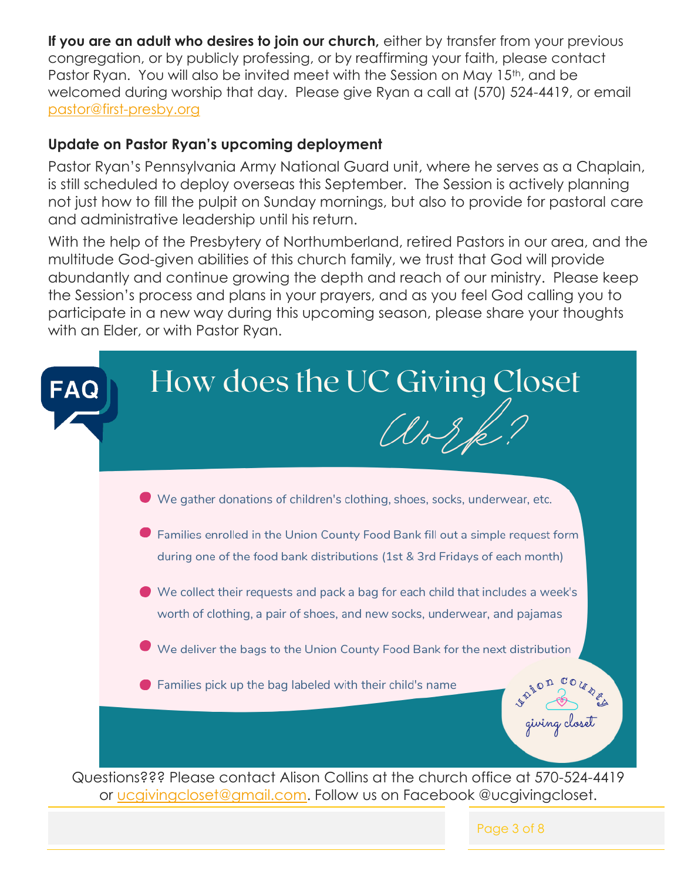**If you are an adult who desires to join our church,** either by transfer from your previous congregation, or by publicly professing, or by reaffirming your faith, please contact Pastor Ryan. You will also be invited meet with the Session on May 15<sup>th</sup>, and be welcomed during worship that day. Please give Ryan a call at (570) 524-4419, or email [pastor@first-presby.org](mailto:pastor@first-presby.org)

#### **Update on Pastor Ryan's upcoming deployment**

Pastor Ryan's Pennsylvania Army National Guard unit, where he serves as a Chaplain, is still scheduled to deploy overseas this September. The Session is actively planning not just how to fill the pulpit on Sunday mornings, but also to provide for pastoral care and administrative leadership until his return.

With the help of the Presbytery of Northumberland, retired Pastors in our area, and the multitude God-given abilities of this church family, we trust that God will provide abundantly and continue growing the depth and reach of our ministry. Please keep the Session's process and plans in your prayers, and as you feel God calling you to participate in a new way during this upcoming season, please share your thoughts with an Elder, or with Pastor Ryan.

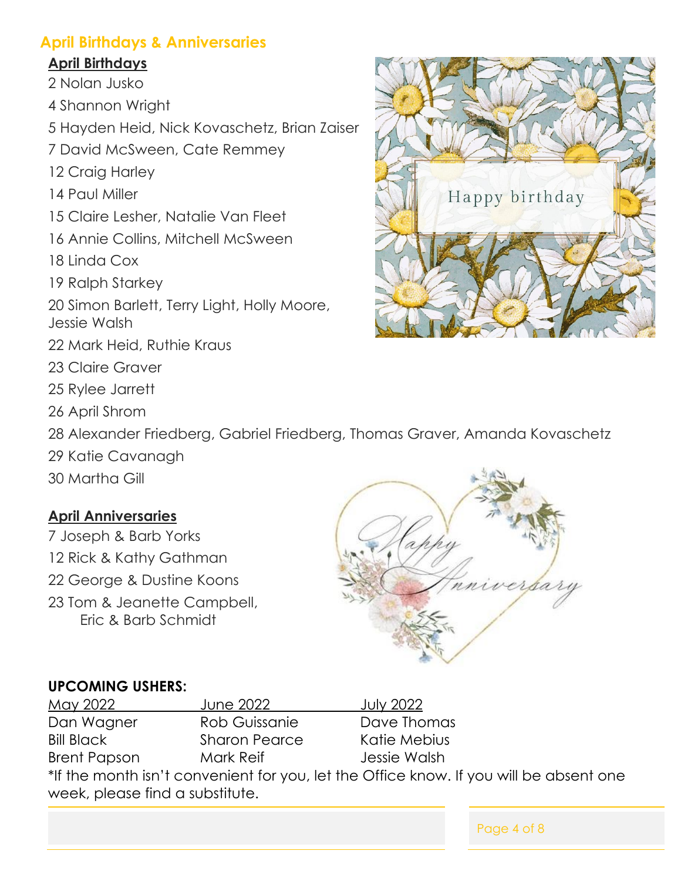#### **April Birthdays & Anniversaries**

#### **April Birthdays**

- 2 Nolan Jusko
- 4 Shannon Wright
- 5 Hayden Heid, Nick Kovaschetz, Brian Zaiser
- 7 David McSween, Cate Remmey
- 12 Craig Harley
- 14 Paul Miller
- 15 Claire Lesher, Natalie Van Fleet
- 16 Annie Collins, Mitchell McSween
- 18 Linda Cox
- 19 Ralph Starkey
- 20 Simon Barlett, Terry Light, Holly Moore, Jessie Walsh
- 22 Mark Heid, Ruthie Kraus
- 23 Claire Graver
- 25 Rylee Jarrett
- 26 April Shrom
- 28 Alexander Friedberg, Gabriel Friedberg, Thomas Graver, Amanda Kovaschetz
- 29 Katie Cavanagh
- 30 Martha Gill

### **April Anniversaries**

- 7 Joseph & Barb Yorks
- 12 Rick & Kathy Gathman
- 22 George & Dustine Koons
- 23 Tom & Jeanette Campbell, Eric & Barb Schmidt



Page 4 of 8

#### **UPCOMING USHERS:**

| <u>May 2022 </u>                                                                       | June 2022            | <b>July 2022</b> |  |  |
|----------------------------------------------------------------------------------------|----------------------|------------------|--|--|
| Dan Wagner                                                                             | Rob Guissanie        | Dave Thomas      |  |  |
| <b>Bill Black</b>                                                                      | <b>Sharon Pearce</b> | Katie Mebius     |  |  |
| <b>Brent Papson</b>                                                                    | Mark Reif            | Jessie Walsh     |  |  |
| *If the month isn't convenient for you, let the Office know. If you will be absent one |                      |                  |  |  |
| week, please find a substitute.                                                        |                      |                  |  |  |

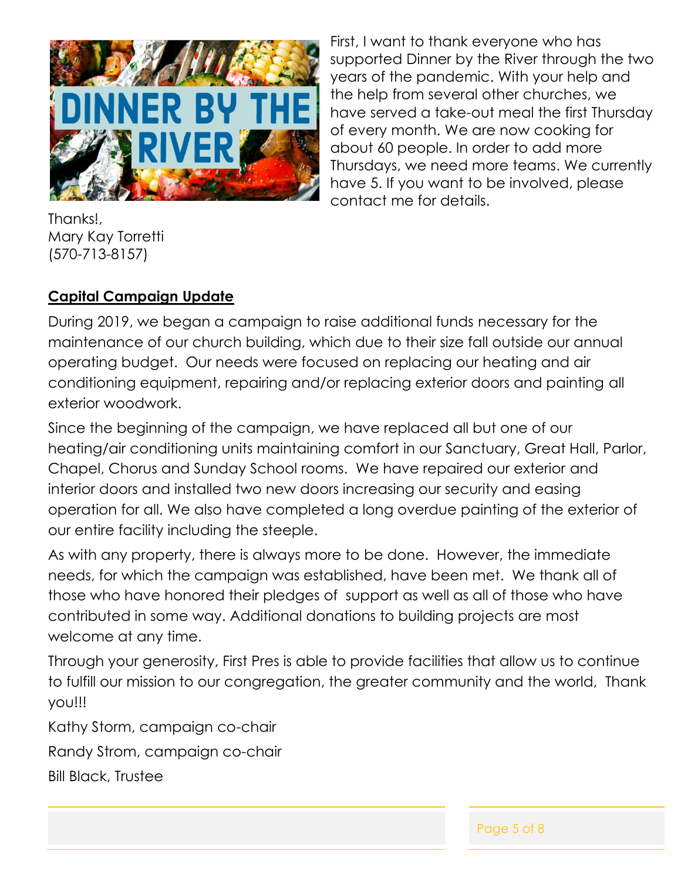

First, I want to thank everyone who has supported Dinner by the River through the two years of the pandemic. With your help and the help from several other churches, we have served a take-out meal the first Thursday of every month. We are now cooking for about 60 people. In order to add more Thursdays, we need more teams. We currently have 5. If you want to be involved, please contact me for details.

Thanks!, Mary Kay Torretti (570-713-8157)

#### **Capital Campaign Update**

During 2019, we began a campaign to raise additional funds necessary for the maintenance of our church building, which due to their size fall outside our annual operating budget. Our needs were focused on replacing our heating and air conditioning equipment, repairing and/or replacing exterior doors and painting all exterior woodwork.

Since the beginning of the campaign, we have replaced all but one of our heating/air conditioning units maintaining comfort in our Sanctuary, Great Hall, Parlor, Chapel, Chorus and Sunday School rooms. We have repaired our exterior and interior doors and installed two new doors increasing our security and easing operation for all. We also have completed a long overdue painting of the exterior of our entire facility including the steeple.

As with any property, there is always more to be done. However, the immediate needs, for which the campaign was established, have been met. We thank all of those who have honored their pledges of support as well as all of those who have contributed in some way. Additional donations to building projects are most welcome at any time.

Through your generosity, First Pres is able to provide facilities that allow us to continue to fulfill our mission to our congregation, the greater community and the world, Thank you!!!

Kathy Storm, campaign co-chair

Randy Strom, campaign co-chair

Bill Black, Trustee

Page 5 of 8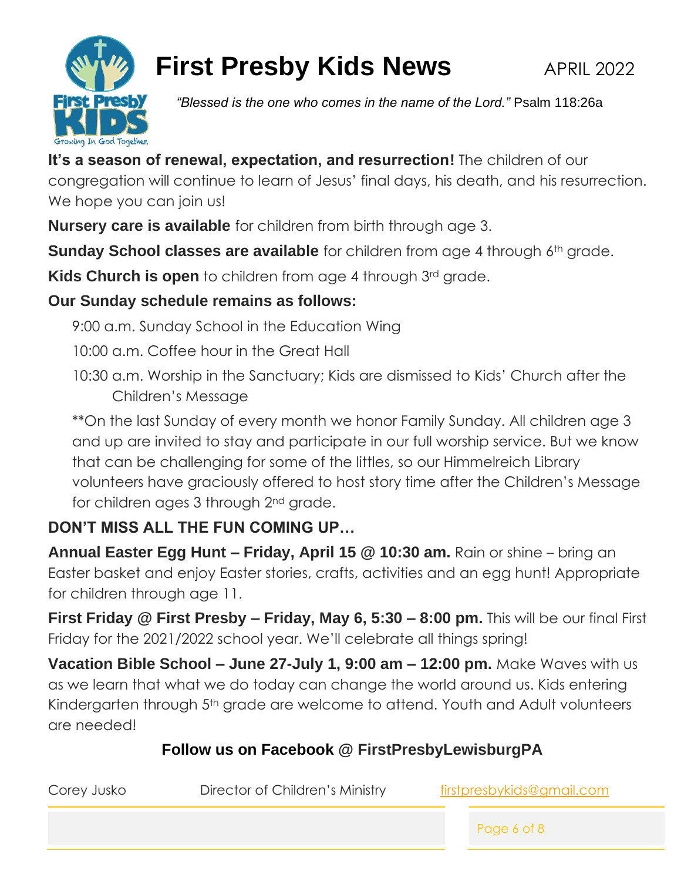

# **First Presby Kids News APRIL 2022**

*"Blessed is the one who comes in the name of the Lord."* Psalm 118:26a

**It's a season of renewal, expectation, and resurrection!** The children of our congregation will continue to learn of Jesus' final days, his death, and his resurrection. We hope you can join us!

**Nursery care is available** for children from birth through age 3.

**Sunday School classes are available** for children from age 4 through 6<sup>th</sup> grade.

**Kids Church is open** to children from age 4 through 3<sup>rd</sup> grade.

# **Our Sunday schedule remains as follows:**

9:00 a.m. Sunday School in the Education Wing

10:00 a.m. Coffee hour in the Great Hall

10:30 a.m. Worship in the Sanctuary; Kids are dismissed to Kids' Church after the Children's Message

\*\*On the last Sunday of every month we honor Family Sunday. All children age 3 and up are invited to stay and participate in our full worship service. But we know that can be challenging for some of the littles, so our Himmelreich Library volunteers have graciously offered to host story time after the Children's Message for children ages 3 through 2nd grade.

# **DON'T MISS ALL THE FUN COMING UP…**

**Annual Easter Egg Hunt – Friday, April 15 @ 10:30 am.** Rain or shine – bring an Easter basket and enjoy Easter stories, crafts, activities and an egg hunt! Appropriate for children through age 11.

**First Friday @ First Presby – Friday, May 6, 5:30 – 8:00 pm.** This will be our final First Friday for the 2021/2022 school year. We'll celebrate all things spring!

**Vacation Bible School – June 27-July 1, 9:00 am – 12:00 pm.** Make Waves with us as we learn that what we do today can change the world around us. Kids entering Kindergarten through 5<sup>th</sup> grade are welcome to attend. Youth and Adult volunteers are needed!

# **Follow us on Facebook @ FirstPresbyLewisburgPA**

| Corey Jusko | Director of Children's Ministry |  | firstpresbykids@gmail.com |  |
|-------------|---------------------------------|--|---------------------------|--|
|             |                                 |  | Page 6 of 8               |  |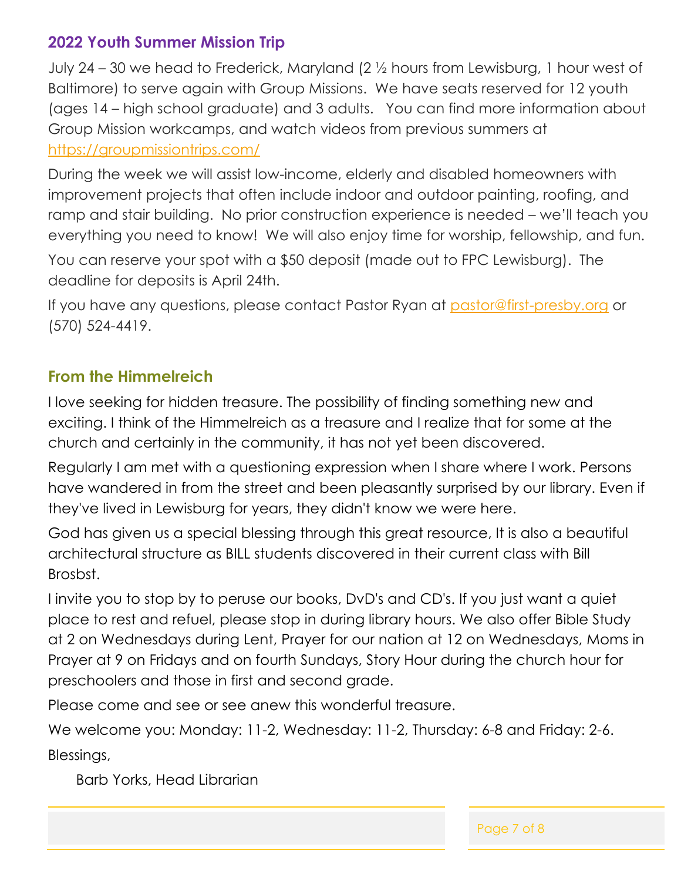### **2022 Youth Summer Mission Trip**

July 24 – 30 we head to Frederick, Maryland (2 ½ hours from Lewisburg, 1 hour west of Baltimore) to serve again with Group Missions. We have seats reserved for 12 youth (ages 14 – high school graduate) and 3 adults. You can find more information about Group Mission workcamps, and watch videos from previous summers at <https://groupmissiontrips.com/>

During the week we will assist low-income, elderly and disabled homeowners with improvement projects that often include indoor and outdoor painting, roofing, and ramp and stair building. No prior construction experience is needed – we'll teach you everything you need to know! We will also enjoy time for worship, fellowship, and fun.

You can reserve your spot with a \$50 deposit (made out to FPC Lewisburg). The deadline for deposits is April 24th.

If you have any questions, please contact Pastor Ryan at [pastor@first-presby.org](mailto:pastor@first-presby.org) or (570) 524-4419.

#### **From the Himmelreich**

I love seeking for hidden treasure. The possibility of finding something new and exciting. I think of the Himmelreich as a treasure and I realize that for some at the church and certainly in the community, it has not yet been discovered.

Regularly I am met with a questioning expression when I share where I work. Persons have wandered in from the street and been pleasantly surprised by our library. Even if they've lived in Lewisburg for years, they didn't know we were here.

God has given us a special blessing through this great resource, It is also a beautiful architectural structure as BILL students discovered in their current class with Bill Brosbst.

I invite you to stop by to peruse our books, DvD's and CD's. If you just want a quiet place to rest and refuel, please stop in during library hours. We also offer Bible Study at 2 on Wednesdays during Lent, Prayer for our nation at 12 on Wednesdays, Moms in Prayer at 9 on Fridays and on fourth Sundays, Story Hour during the church hour for preschoolers and those in first and second grade.

Please come and see or see anew this wonderful treasure.

We welcome you: Monday: 11-2, Wednesday: 11-2, Thursday: 6-8 and Friday: 2-6. Blessings,

Barb Yorks, Head Librarian

Page 7 of 8